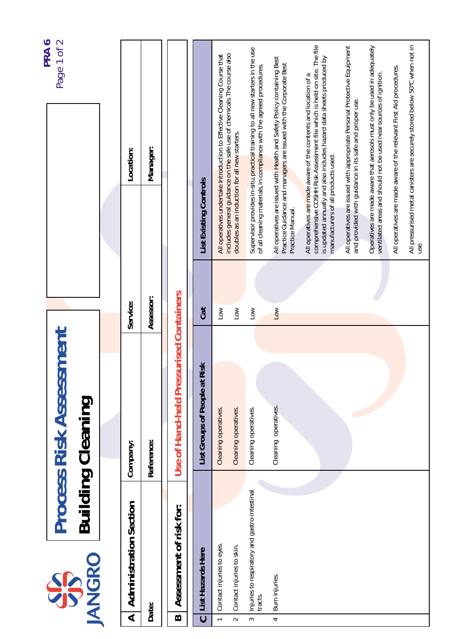| PRA6<br>Page 1 of 2                                        |               | Location:<br>Service:                                 | Manager:<br>Assessor: |                                                  | <b>List Existing Controls</b><br>Cat | All operatives undertake Introduction to Effective Cleaning Course that<br>Low | includes general guidance on the safe use of chemicals. The course also<br>doubles as an induction for all new starters.<br>$\overline{100}$ | Supervisor provides in-situ, practical training to all new starters in the use<br>of all cleaning materials, in compliance with the agreed procedures.<br>Low | All operatives are issued with Health and Safety Policy containing Best<br>Practice Guidance and managers are issued with the Corporate Best<br>Practice Manual.<br>Low | comprehensive COSHH Risk Assessment file which is held on site. The file<br>is updated annually and also includes hazard data sheets produced by<br>All operatives are made aware of the contents and location of a<br>manufacturers of all products used. | All operatives are issued with appropriate Personal Protective Equipment<br>and provided with guidance in its safe and proper use. | Operatives are made aware that aerosols must only be used in adequately<br>ventilated areas and should not be used near sources of ignition. | All operatives are made aware of the relevant First Aid procedures. | All pressurised metal canisters are securely stored below 50°C when not in |
|------------------------------------------------------------|---------------|-------------------------------------------------------|-----------------------|--------------------------------------------------|--------------------------------------|--------------------------------------------------------------------------------|----------------------------------------------------------------------------------------------------------------------------------------------|---------------------------------------------------------------------------------------------------------------------------------------------------------------|-------------------------------------------------------------------------------------------------------------------------------------------------------------------------|------------------------------------------------------------------------------------------------------------------------------------------------------------------------------------------------------------------------------------------------------------|------------------------------------------------------------------------------------------------------------------------------------|----------------------------------------------------------------------------------------------------------------------------------------------|---------------------------------------------------------------------|----------------------------------------------------------------------------|
|                                                            |               |                                                       |                       | Use of Hand-held Pressurised Containers          | List Groups of People at Risk        | Cleaning operatives.                                                           | Cleaning operatives.                                                                                                                         | Cleaning operatives.                                                                                                                                          | Cleaning operatives.                                                                                                                                                    |                                                                                                                                                                                                                                                            |                                                                                                                                    |                                                                                                                                              |                                                                     |                                                                            |
| <b>Process Risk Assessment</b><br><b>Building Cleaning</b> |               | Company:                                              | Reference:            |                                                  |                                      |                                                                                |                                                                                                                                              |                                                                                                                                                               |                                                                                                                                                                         |                                                                                                                                                                                                                                                            |                                                                                                                                    |                                                                                                                                              |                                                                     |                                                                            |
| <b>SP</b>                                                  | <b>IANGRO</b> | <b>Administration Section</b><br>$\blacktriangleleft$ | Date:                 | Assessment of risk for:<br>$\boldsymbol{\omega}$ | List Hazards Here<br>$\mathbf C$     | Contact injuries to eyes.<br>$\leftarrow$                                      | Contact injuries to skin.<br>$\sim$                                                                                                          | Injuries to respiratory and gastro-intestinal<br>tracts.<br>$\sim$                                                                                            | Burn injuries.<br>$\overline{\phantom{a}}$                                                                                                                              |                                                                                                                                                                                                                                                            |                                                                                                                                    |                                                                                                                                              |                                                                     |                                                                            |